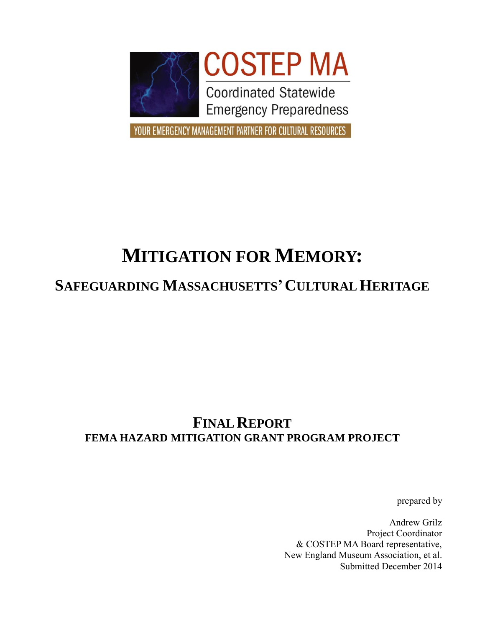



YOUR EMERGENCY MANAGEMENT PARTNER FOR CULTURAL RESOURCES

### **MITIGATION FOR MEMORY:**

### **SAFEGUARDING MASSACHUSETTS'CULTURAL HERITAGE**

### **FINAL REPORT FEMA HAZARD MITIGATION GRANT PROGRAM PROJECT**

prepared by

Andrew Grilz Project Coordinator & COSTEP MA Board representative, New England Museum Association, et al. Submitted December 2014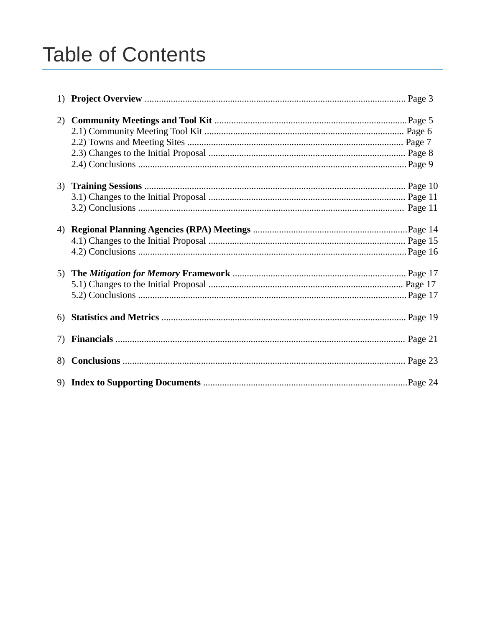### **Table of Contents**

| 2) |  |
|----|--|
| 3) |  |
| 4) |  |
|    |  |
|    |  |
|    |  |
| 8) |  |
|    |  |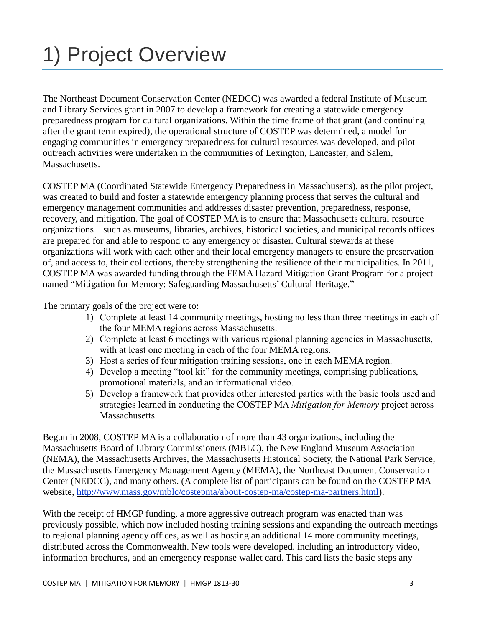# 1) Project Overview

The Northeast Document Conservation Center (NEDCC) was awarded a federal Institute of Museum and Library Services grant in 2007 to develop a framework for creating a statewide emergency preparedness program for cultural organizations. Within the time frame of that grant (and continuing after the grant term expired), the operational structure of COSTEP was determined, a model for engaging communities in emergency preparedness for cultural resources was developed, and pilot outreach activities were undertaken in the communities of Lexington, Lancaster, and Salem, Massachusetts.

COSTEP MA (Coordinated Statewide Emergency Preparedness in Massachusetts), as the pilot project, was created to build and foster a statewide emergency planning process that serves the cultural and emergency management communities and addresses disaster prevention, preparedness, response, recovery, and mitigation. The goal of COSTEP MA is to ensure that Massachusetts cultural resource organizations – such as museums, libraries, archives, historical societies, and municipal records offices – are prepared for and able to respond to any emergency or disaster. Cultural stewards at these organizations will work with each other and their local emergency managers to ensure the preservation of, and access to, their collections, thereby strengthening the resilience of their municipalities. In 2011, COSTEP MA was awarded funding through the FEMA Hazard Mitigation Grant Program for a project named "Mitigation for Memory: Safeguarding Massachusetts' Cultural Heritage."

The primary goals of the project were to:

- 1) Complete at least 14 community meetings, hosting no less than three meetings in each of the four MEMA regions across Massachusetts.
- 2) Complete at least 6 meetings with various regional planning agencies in Massachusetts, with at least one meeting in each of the four MEMA regions.
- 3) Host a series of four mitigation training sessions, one in each MEMA region.
- 4) Develop a meeting "tool kit" for the community meetings, comprising publications, promotional materials, and an informational video.
- 5) Develop a framework that provides other interested parties with the basic tools used and strategies learned in conducting the COSTEP MA *Mitigation for Memory* project across **Massachusetts**

Begun in 2008, COSTEP MA is a collaboration of more than 43 organizations, including the Massachusetts Board of Library Commissioners (MBLC), the New England Museum Association (NEMA), the Massachusetts Archives, the Massachusetts Historical Society, the National Park Service, the Massachusetts Emergency Management Agency (MEMA), the Northeast Document Conservation Center (NEDCC), and many others. (A complete list of participants can be found on the COSTEP MA website, [http://www.mass.gov/mblc/costepma/about-costep-ma/costep-ma-partners.html\)](http://www.mass.gov/mblc/costepma/about-costep-ma/costep-ma-partners.html).

With the receipt of HMGP funding, a more aggressive outreach program was enacted than was previously possible, which now included hosting training sessions and expanding the outreach meetings to regional planning agency offices, as well as hosting an additional 14 more community meetings, distributed across the Commonwealth. New tools were developed, including an introductory video, information brochures, and an emergency response wallet card. This card lists the basic steps any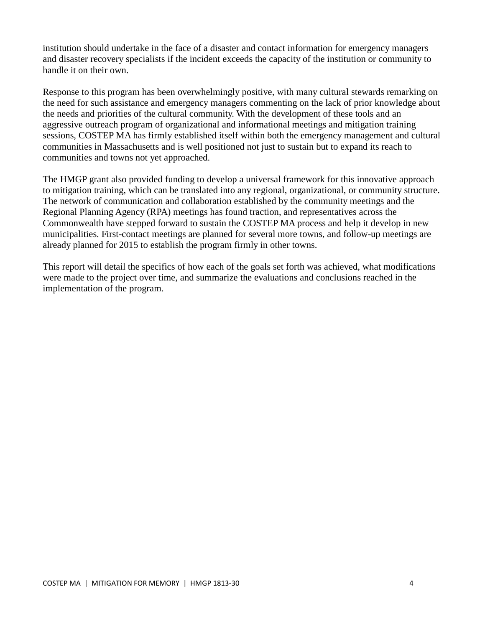institution should undertake in the face of a disaster and contact information for emergency managers and disaster recovery specialists if the incident exceeds the capacity of the institution or community to handle it on their own.

Response to this program has been overwhelmingly positive, with many cultural stewards remarking on the need for such assistance and emergency managers commenting on the lack of prior knowledge about the needs and priorities of the cultural community. With the development of these tools and an aggressive outreach program of organizational and informational meetings and mitigation training sessions, COSTEP MA has firmly established itself within both the emergency management and cultural communities in Massachusetts and is well positioned not just to sustain but to expand its reach to communities and towns not yet approached.

The HMGP grant also provided funding to develop a universal framework for this innovative approach to mitigation training, which can be translated into any regional, organizational, or community structure. The network of communication and collaboration established by the community meetings and the Regional Planning Agency (RPA) meetings has found traction, and representatives across the Commonwealth have stepped forward to sustain the COSTEP MA process and help it develop in new municipalities. First-contact meetings are planned for several more towns, and follow-up meetings are already planned for 2015 to establish the program firmly in other towns.

This report will detail the specifics of how each of the goals set forth was achieved, what modifications were made to the project over time, and summarize the evaluations and conclusions reached in the implementation of the program.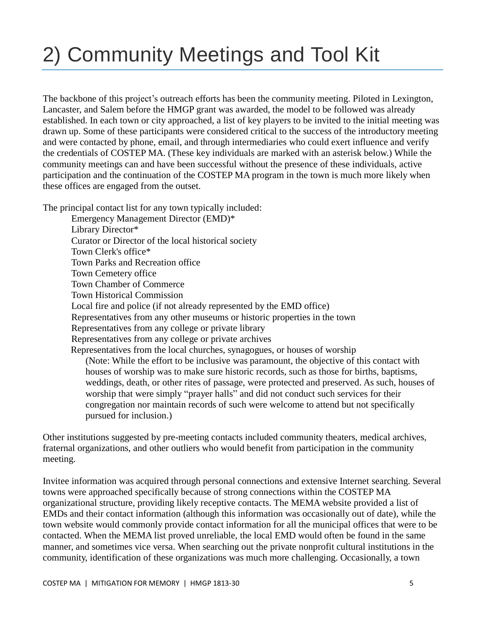# 2) Community Meetings and Tool Kit

The backbone of this project's outreach efforts has been the community meeting. Piloted in Lexington, Lancaster, and Salem before the HMGP grant was awarded, the model to be followed was already established. In each town or city approached, a list of key players to be invited to the initial meeting was drawn up. Some of these participants were considered critical to the success of the introductory meeting and were contacted by phone, email, and through intermediaries who could exert influence and verify the credentials of COSTEP MA. (These key individuals are marked with an asterisk below.) While the community meetings can and have been successful without the presence of these individuals, active participation and the continuation of the COSTEP MA program in the town is much more likely when these offices are engaged from the outset.

The principal contact list for any town typically included:

Emergency Management Director (EMD)\* Library Director\* Curator or Director of the local historical society Town Clerk's office\* Town Parks and Recreation office Town Cemetery office Town Chamber of Commerce Town Historical Commission Local fire and police (if not already represented by the EMD office) Representatives from any other museums or historic properties in the town Representatives from any college or private library Representatives from any college or private archives Representatives from the local churches, synagogues, or houses of worship (Note: While the effort to be inclusive was paramount, the objective of this contact with houses of worship was to make sure historic records, such as those for births, baptisms, weddings, death, or other rites of passage, were protected and preserved. As such, houses of worship that were simply "prayer halls" and did not conduct such services for their congregation nor maintain records of such were welcome to attend but not specifically pursued for inclusion.)

Other institutions suggested by pre-meeting contacts included community theaters, medical archives, fraternal organizations, and other outliers who would benefit from participation in the community meeting.

Invitee information was acquired through personal connections and extensive Internet searching. Several towns were approached specifically because of strong connections within the COSTEP MA organizational structure, providing likely receptive contacts. The MEMA website provided a list of EMDs and their contact information (although this information was occasionally out of date), while the town website would commonly provide contact information for all the municipal offices that were to be contacted. When the MEMA list proved unreliable, the local EMD would often be found in the same manner, and sometimes vice versa. When searching out the private nonprofit cultural institutions in the community, identification of these organizations was much more challenging. Occasionally, a town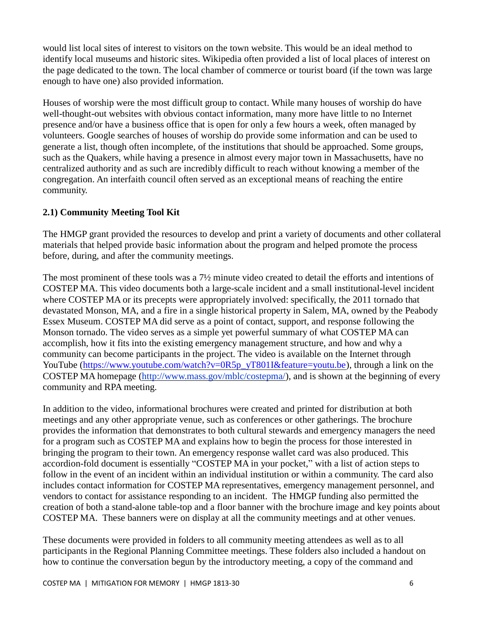would list local sites of interest to visitors on the town website. This would be an ideal method to identify local museums and historic sites. Wikipedia often provided a list of local places of interest on the page dedicated to the town. The local chamber of commerce or tourist board (if the town was large enough to have one) also provided information.

Houses of worship were the most difficult group to contact. While many houses of worship do have well-thought-out websites with obvious contact information, many more have little to no Internet presence and/or have a business office that is open for only a few hours a week, often managed by volunteers. Google searches of houses of worship do provide some information and can be used to generate a list, though often incomplete, of the institutions that should be approached. Some groups, such as the Quakers, while having a presence in almost every major town in Massachusetts, have no centralized authority and as such are incredibly difficult to reach without knowing a member of the congregation. An interfaith council often served as an exceptional means of reaching the entire community.

#### **2.1) Community Meeting Tool Kit**

The HMGP grant provided the resources to develop and print a variety of documents and other collateral materials that helped provide basic information about the program and helped promote the process before, during, and after the community meetings.

The most prominent of these tools was a 7½ minute video created to detail the efforts and intentions of COSTEP MA. This video documents both a large-scale incident and a small institutional-level incident where COSTEP MA or its precepts were appropriately involved: specifically, the 2011 tornado that devastated Monson, MA, and a fire in a single historical property in Salem, MA, owned by the Peabody Essex Museum. COSTEP MA did serve as a point of contact, support, and response following the Monson tornado. The video serves as a simple yet powerful summary of what COSTEP MA can accomplish, how it fits into the existing emergency management structure, and how and why a community can become participants in the project. The video is available on the Internet through YouTube [\(https://www.youtube.com/watch?v=0R5p\\_yT801I&feature=youtu.be\)](https://www.youtube.com/watch?v=0R5p_yT801I&feature=youtu.be), through a link on the COSTEP MA homepage [\(http://www.mass.gov/mblc/costepma/\)](http://www.mass.gov/mblc/costepma/), and is shown at the beginning of every community and RPA meeting.

In addition to the video, informational brochures were created and printed for distribution at both meetings and any other appropriate venue, such as conferences or other gatherings. The brochure provides the information that demonstrates to both cultural stewards and emergency managers the need for a program such as COSTEP MA and explains how to begin the process for those interested in bringing the program to their town. An emergency response wallet card was also produced. This accordion-fold document is essentially "COSTEP MA in your pocket," with a list of action steps to follow in the event of an incident within an individual institution or within a community. The card also includes contact information for COSTEP MA representatives, emergency management personnel, and vendors to contact for assistance responding to an incident. The HMGP funding also permitted the creation of both a stand-alone table-top and a floor banner with the brochure image and key points about COSTEP MA. These banners were on display at all the community meetings and at other venues.

These documents were provided in folders to all community meeting attendees as well as to all participants in the Regional Planning Committee meetings. These folders also included a handout on how to continue the conversation begun by the introductory meeting, a copy of the command and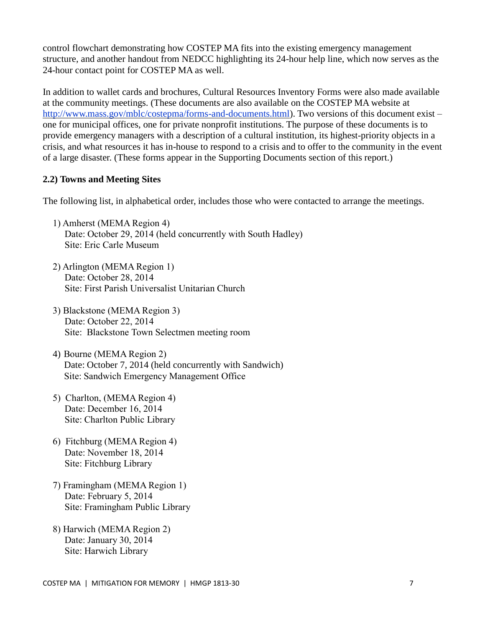control flowchart demonstrating how COSTEP MA fits into the existing emergency management structure, and another handout from NEDCC highlighting its 24-hour help line, which now serves as the 24-hour contact point for COSTEP MA as well.

In addition to wallet cards and brochures, Cultural Resources Inventory Forms were also made available at the community meetings. (These documents are also available on the COSTEP MA website at [http://www.mass.gov/mblc/costepma/forms-and-documents.html\)](http://www.mass.gov/mblc/costepma/forms-and-documents.html). Two versions of this document exist – one for municipal offices, one for private nonprofit institutions. The purpose of these documents is to provide emergency managers with a description of a cultural institution, its highest-priority objects in a crisis, and what resources it has in-house to respond to a crisis and to offer to the community in the event of a large disaster. (These forms appear in the Supporting Documents section of this report.)

#### **2.2) Towns and Meeting Sites**

The following list, in alphabetical order, includes those who were contacted to arrange the meetings.

- 1) Amherst (MEMA Region 4) Date: October 29, 2014 (held concurrently with South Hadley) Site: Eric Carle Museum
- 2) Arlington (MEMA Region 1) Date: October 28, 2014 Site: First Parish Universalist Unitarian Church
- 3) Blackstone (MEMA Region 3) Date: October 22, 2014 Site: Blackstone Town Selectmen meeting room
- 4) Bourne (MEMA Region 2) Date: October 7, 2014 (held concurrently with Sandwich) Site: Sandwich Emergency Management Office
- 5) Charlton, (MEMA Region 4) Date: December 16, 2014 Site: Charlton Public Library
- 6) Fitchburg (MEMA Region 4) Date: November 18, 2014 Site: Fitchburg Library
- 7) Framingham (MEMA Region 1) Date: February 5, 2014 Site: Framingham Public Library
- 8) Harwich (MEMA Region 2) Date: January 30, 2014 Site: Harwich Library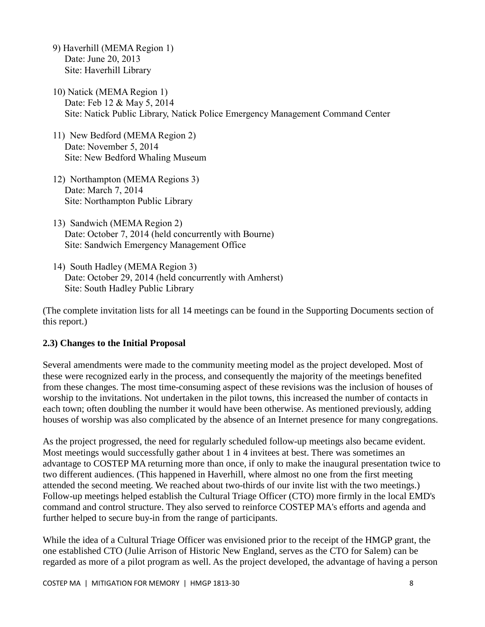- 9) Haverhill (MEMA Region 1) Date: June 20, 2013 Site: Haverhill Library
- 10) Natick (MEMA Region 1) Date: Feb 12 & May 5, 2014 Site: Natick Public Library, Natick Police Emergency Management Command Center
- 11) New Bedford (MEMA Region 2) Date: November 5, 2014 Site: New Bedford Whaling Museum
- 12) Northampton (MEMA Regions 3) Date: March 7, 2014 Site: Northampton Public Library
- 13) Sandwich (MEMA Region 2) Date: October 7, 2014 (held concurrently with Bourne) Site: Sandwich Emergency Management Office
- 14) South Hadley (MEMA Region 3) Date: October 29, 2014 (held concurrently with Amherst) Site: South Hadley Public Library

(The complete invitation lists for all 14 meetings can be found in the Supporting Documents section of this report.)

#### **2.3) Changes to the Initial Proposal**

Several amendments were made to the community meeting model as the project developed. Most of these were recognized early in the process, and consequently the majority of the meetings benefited from these changes. The most time-consuming aspect of these revisions was the inclusion of houses of worship to the invitations. Not undertaken in the pilot towns, this increased the number of contacts in each town; often doubling the number it would have been otherwise. As mentioned previously, adding houses of worship was also complicated by the absence of an Internet presence for many congregations.

As the project progressed, the need for regularly scheduled follow-up meetings also became evident. Most meetings would successfully gather about 1 in 4 invitees at best. There was sometimes an advantage to COSTEP MA returning more than once, if only to make the inaugural presentation twice to two different audiences. (This happened in Haverhill, where almost no one from the first meeting attended the second meeting. We reached about two-thirds of our invite list with the two meetings.) Follow-up meetings helped establish the Cultural Triage Officer (CTO) more firmly in the local EMD's command and control structure. They also served to reinforce COSTEP MA's efforts and agenda and further helped to secure buy-in from the range of participants.

While the idea of a Cultural Triage Officer was envisioned prior to the receipt of the HMGP grant, the one established CTO (Julie Arrison of Historic New England, serves as the CTO for Salem) can be regarded as more of a pilot program as well. As the project developed, the advantage of having a person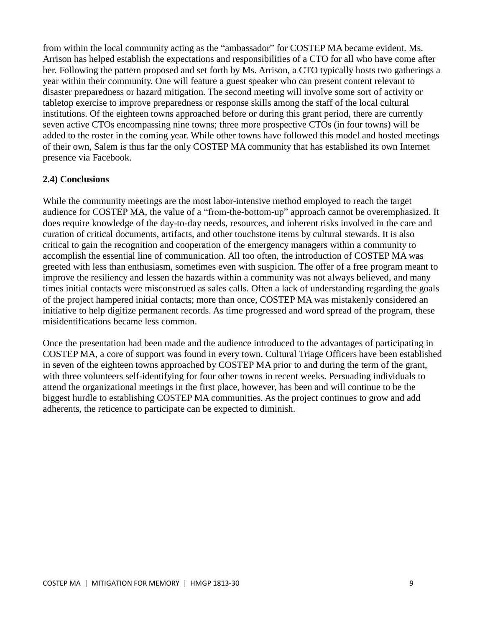from within the local community acting as the "ambassador" for COSTEP MA became evident. Ms. Arrison has helped establish the expectations and responsibilities of a CTO for all who have come after her. Following the pattern proposed and set forth by Ms. Arrison, a CTO typically hosts two gatherings a year within their community. One will feature a guest speaker who can present content relevant to disaster preparedness or hazard mitigation. The second meeting will involve some sort of activity or tabletop exercise to improve preparedness or response skills among the staff of the local cultural institutions. Of the eighteen towns approached before or during this grant period, there are currently seven active CTOs encompassing nine towns; three more prospective CTOs (in four towns) will be added to the roster in the coming year. While other towns have followed this model and hosted meetings of their own, Salem is thus far the only COSTEP MA community that has established its own Internet presence via Facebook.

#### **2.4) Conclusions**

While the community meetings are the most labor-intensive method employed to reach the target audience for COSTEP MA, the value of a "from-the-bottom-up" approach cannot be overemphasized. It does require knowledge of the day-to-day needs, resources, and inherent risks involved in the care and curation of critical documents, artifacts, and other touchstone items by cultural stewards. It is also critical to gain the recognition and cooperation of the emergency managers within a community to accomplish the essential line of communication. All too often, the introduction of COSTEP MA was greeted with less than enthusiasm, sometimes even with suspicion. The offer of a free program meant to improve the resiliency and lessen the hazards within a community was not always believed, and many times initial contacts were misconstrued as sales calls. Often a lack of understanding regarding the goals of the project hampered initial contacts; more than once, COSTEP MA was mistakenly considered an initiative to help digitize permanent records. As time progressed and word spread of the program, these misidentifications became less common.

Once the presentation had been made and the audience introduced to the advantages of participating in COSTEP MA, a core of support was found in every town. Cultural Triage Officers have been established in seven of the eighteen towns approached by COSTEP MA prior to and during the term of the grant, with three volunteers self-identifying for four other towns in recent weeks. Persuading individuals to attend the organizational meetings in the first place, however, has been and will continue to be the biggest hurdle to establishing COSTEP MA communities. As the project continues to grow and add adherents, the reticence to participate can be expected to diminish.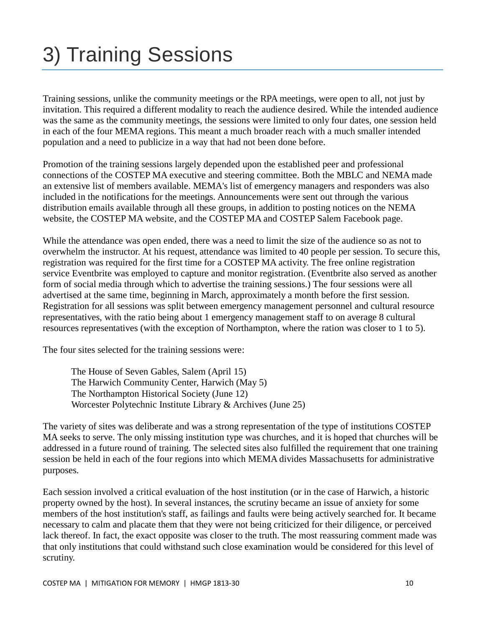### 3) Training Sessions

Training sessions, unlike the community meetings or the RPA meetings, were open to all, not just by invitation. This required a different modality to reach the audience desired. While the intended audience was the same as the community meetings, the sessions were limited to only four dates, one session held in each of the four MEMA regions. This meant a much broader reach with a much smaller intended population and a need to publicize in a way that had not been done before.

Promotion of the training sessions largely depended upon the established peer and professional connections of the COSTEP MA executive and steering committee. Both the MBLC and NEMA made an extensive list of members available. MEMA's list of emergency managers and responders was also included in the notifications for the meetings. Announcements were sent out through the various distribution emails available through all these groups, in addition to posting notices on the NEMA website, the COSTEP MA website, and the COSTEP MA and COSTEP Salem Facebook page.

While the attendance was open ended, there was a need to limit the size of the audience so as not to overwhelm the instructor. At his request, attendance was limited to 40 people per session. To secure this, registration was required for the first time for a COSTEP MA activity. The free online registration service Eventbrite was employed to capture and monitor registration. (Eventbrite also served as another form of social media through which to advertise the training sessions.) The four sessions were all advertised at the same time, beginning in March, approximately a month before the first session. Registration for all sessions was split between emergency management personnel and cultural resource representatives, with the ratio being about 1 emergency management staff to on average 8 cultural resources representatives (with the exception of Northampton, where the ration was closer to 1 to 5).

The four sites selected for the training sessions were:

 The House of Seven Gables, Salem (April 15) The Harwich Community Center, Harwich (May 5) The Northampton Historical Society (June 12) Worcester Polytechnic Institute Library & Archives (June 25)

The variety of sites was deliberate and was a strong representation of the type of institutions COSTEP MA seeks to serve. The only missing institution type was churches, and it is hoped that churches will be addressed in a future round of training. The selected sites also fulfilled the requirement that one training session be held in each of the four regions into which MEMA divides Massachusetts for administrative purposes.

Each session involved a critical evaluation of the host institution (or in the case of Harwich, a historic property owned by the host). In several instances, the scrutiny became an issue of anxiety for some members of the host institution's staff, as failings and faults were being actively searched for. It became necessary to calm and placate them that they were not being criticized for their diligence, or perceived lack thereof. In fact, the exact opposite was closer to the truth. The most reassuring comment made was that only institutions that could withstand such close examination would be considered for this level of scrutiny.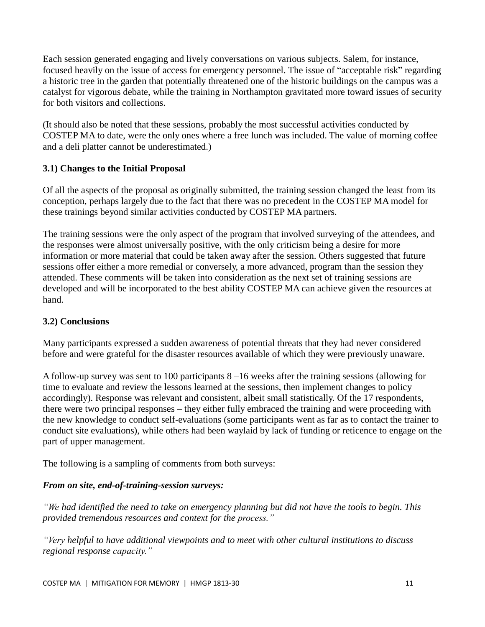Each session generated engaging and lively conversations on various subjects. Salem, for instance, focused heavily on the issue of access for emergency personnel. The issue of "acceptable risk" regarding a historic tree in the garden that potentially threatened one of the historic buildings on the campus was a catalyst for vigorous debate, while the training in Northampton gravitated more toward issues of security for both visitors and collections.

(It should also be noted that these sessions, probably the most successful activities conducted by COSTEP MA to date, were the only ones where a free lunch was included. The value of morning coffee and a deli platter cannot be underestimated.)

#### **3.1) Changes to the Initial Proposal**

Of all the aspects of the proposal as originally submitted, the training session changed the least from its conception, perhaps largely due to the fact that there was no precedent in the COSTEP MA model for these trainings beyond similar activities conducted by COSTEP MA partners.

The training sessions were the only aspect of the program that involved surveying of the attendees, and the responses were almost universally positive, with the only criticism being a desire for more information or more material that could be taken away after the session. Others suggested that future sessions offer either a more remedial or conversely, a more advanced, program than the session they attended. These comments will be taken into consideration as the next set of training sessions are developed and will be incorporated to the best ability COSTEP MA can achieve given the resources at hand.

#### **3.2) Conclusions**

Many participants expressed a sudden awareness of potential threats that they had never considered before and were grateful for the disaster resources available of which they were previously unaware.

A follow-up survey was sent to 100 participants 8 –16 weeks after the training sessions (allowing for time to evaluate and review the lessons learned at the sessions, then implement changes to policy accordingly). Response was relevant and consistent, albeit small statistically. Of the 17 respondents, there were two principal responses – they either fully embraced the training and were proceeding with the new knowledge to conduct self-evaluations (some participants went as far as to contact the trainer to conduct site evaluations), while others had been waylaid by lack of funding or reticence to engage on the part of upper management.

The following is a sampling of comments from both surveys:

#### *From on site, end-of-training-session surveys:*

"We had identified the need to take on emergency planning but did not have the tools to begin. This *provided tremendous resources and context for the process."*

*"Very helpful to have additional viewpoints and to meet with other cultural institutions to discuss regional response capacity."*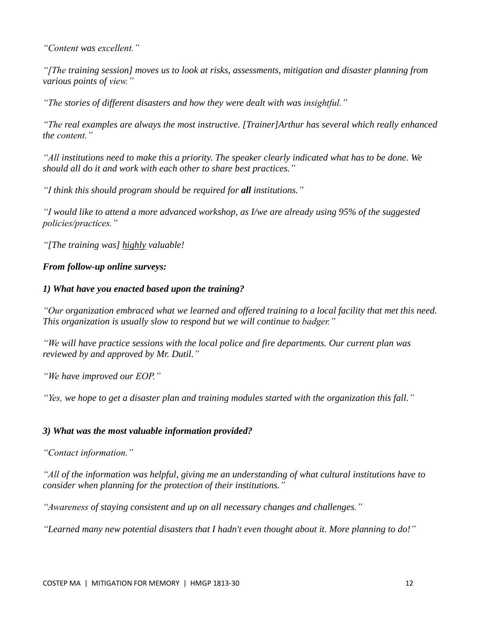*"Content was excellent."*

*"[The training session] moves us to look at risks, assessments, mitigation and disaster planning from various points of view."*

*"The stories of different disasters and how they were dealt with was insightful."*

*"The real examples are always the most instructive. [Trainer]Arthur has several which really enhanced the content."*

"All institutions need to make this a priority. The speaker clearly indicated what has to be done. We *should all do it and work with each other to share best practices."*

*"I think this should program should be required for all institutions."*

*"I would like to attend a more advanced workshop, as I/we are already using 95% of the suggested policies/practices."*

*"[The training was] highly valuable!*

#### *From follow-up online surveys:*

#### *1) What have you enacted based upon the training?*

*"Our organization embraced what we learned and offered training to a local facility that met this need. This organization is usually slow to respond but we will continue to badger."*

*"We will have practice sessions with the local police and fire departments. Our current plan was reviewed by and approved by Mr. Dutil."*

*"We have improved our EOP."*

*"Yes, we hope to get a disaster plan and training modules started with the organization this fall."*

#### *3) What was the most valuable information provided?*

*"Contact information."*

*"All of the information was helpful, giving me an understanding of what cultural institutions have to consider when planning for the protection of their institutions."*

*"Awareness of staying consistent and up on all necessary changes and challenges."*

*"Learned many new potential disasters that I hadn't even thought about it. More planning to do!"*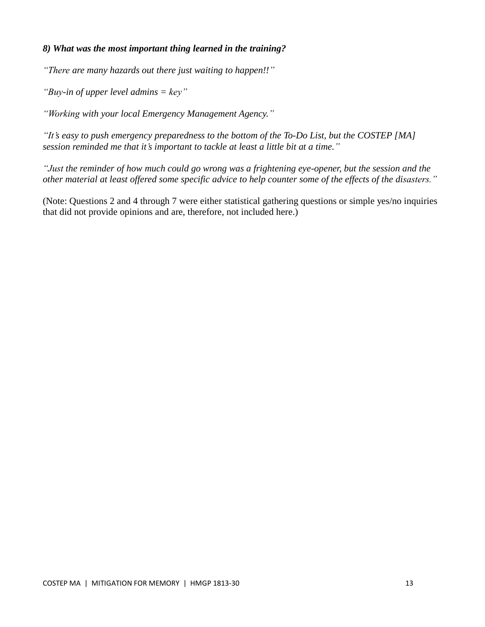#### *8) What was the most important thing learned in the training?*

*"There are many hazards out there just waiting to happen!!"*

*"Buy-in of upper level admins = key"*

*"Working with your local Emergency Management Agency."*

*"It's easy to push emergency preparedness to the bottom of the To-Do List, but the COSTEP [MA] session reminded me that it's important to tackle at least a little bit at a time."*

"Just the reminder of how much could go wrong was a frightening eye-opener, but the session and the other material at least offered some specific advice to help counter some of the effects of the disasters."

(Note: Questions 2 and 4 through 7 were either statistical gathering questions or simple yes/no inquiries that did not provide opinions and are, therefore, not included here.)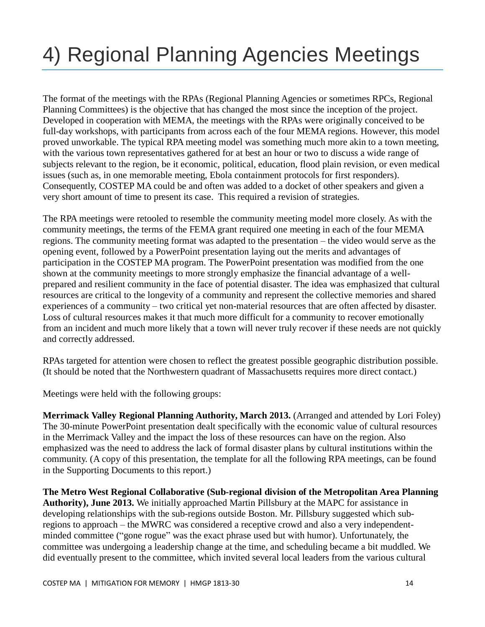# 4) Regional Planning Agencies Meetings

The format of the meetings with the RPAs (Regional Planning Agencies or sometimes RPCs, Regional Planning Committees) is the objective that has changed the most since the inception of the project. Developed in cooperation with MEMA, the meetings with the RPAs were originally conceived to be full-day workshops, with participants from across each of the four MEMA regions. However, this model proved unworkable. The typical RPA meeting model was something much more akin to a town meeting, with the various town representatives gathered for at best an hour or two to discuss a wide range of subjects relevant to the region, be it economic, political, education, flood plain revision, or even medical issues (such as, in one memorable meeting, Ebola containment protocols for first responders). Consequently, COSTEP MA could be and often was added to a docket of other speakers and given a very short amount of time to present its case. This required a revision of strategies.

The RPA meetings were retooled to resemble the community meeting model more closely. As with the community meetings, the terms of the FEMA grant required one meeting in each of the four MEMA regions. The community meeting format was adapted to the presentation – the video would serve as the opening event, followed by a PowerPoint presentation laying out the merits and advantages of participation in the COSTEP MA program. The PowerPoint presentation was modified from the one shown at the community meetings to more strongly emphasize the financial advantage of a wellprepared and resilient community in the face of potential disaster. The idea was emphasized that cultural resources are critical to the longevity of a community and represent the collective memories and shared experiences of a community – two critical yet non-material resources that are often affected by disaster. Loss of cultural resources makes it that much more difficult for a community to recover emotionally from an incident and much more likely that a town will never truly recover if these needs are not quickly and correctly addressed.

RPAs targeted for attention were chosen to reflect the greatest possible geographic distribution possible. (It should be noted that the Northwestern quadrant of Massachusetts requires more direct contact.)

Meetings were held with the following groups:

**Merrimack Valley Regional Planning Authority, March 2013.** (Arranged and attended by Lori Foley) The 30-minute PowerPoint presentation dealt specifically with the economic value of cultural resources in the Merrimack Valley and the impact the loss of these resources can have on the region. Also emphasized was the need to address the lack of formal disaster plans by cultural institutions within the community. (A copy of this presentation, the template for all the following RPA meetings, can be found in the Supporting Documents to this report.)

**The Metro West Regional Collaborative (Sub-regional division of the Metropolitan Area Planning Authority), June 2013.** We initially approached Martin Pillsbury at the MAPC for assistance in developing relationships with the sub-regions outside Boston. Mr. Pillsbury suggested which subregions to approach – the MWRC was considered a receptive crowd and also a very independentminded committee ("gone rogue" was the exact phrase used but with humor). Unfortunately, the committee was undergoing a leadership change at the time, and scheduling became a bit muddled. We did eventually present to the committee, which invited several local leaders from the various cultural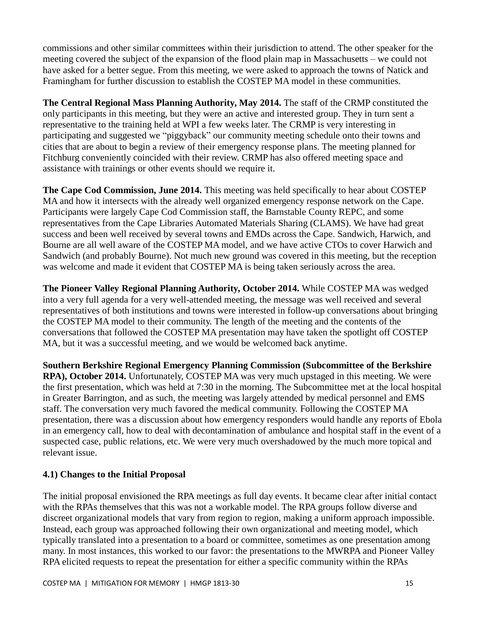commissions and other similar committees within their jurisdiction to attend. The other speaker for the meeting covered the subject of the expansion of the flood plain map in Massachusetts – we could not have asked for a better segue. From this meeting, we were asked to approach the towns of Natick and Framingham for further discussion to establish the COSTEP MA model in these communities.

**The Central Regional Mass Planning Authority, May 2014.** The staff of the CRMP constituted the only participants in this meeting, but they were an active and interested group. They in turn sent a representative to the training held at WPI a few weeks later. The CRMP is very interesting in participating and suggested we "piggyback" our community meeting schedule onto their towns and cities that are about to begin a review of their emergency response plans. The meeting planned for Fitchburg conveniently coincided with their review. CRMP has also offered meeting space and assistance with trainings or other events should we require it.

**The Cape Cod Commission, June 2014.** This meeting was held specifically to hear about COSTEP MA and how it intersects with the already well organized emergency response network on the Cape. Participants were largely Cape Cod Commission staff, the Barnstable County REPC, and some representatives from the Cape Libraries Automated Materials Sharing (CLAMS). We have had great success and been well received by several towns and EMDs across the Cape. Sandwich, Harwich, and Bourne are all well aware of the COSTEP MA model, and we have active CTOs to cover Harwich and Sandwich (and probably Bourne). Not much new ground was covered in this meeting, but the reception was welcome and made it evident that COSTEP MA is being taken seriously across the area.

**The Pioneer Valley Regional Planning Authority, October 2014.** While COSTEP MA was wedged into a very full agenda for a very well-attended meeting, the message was well received and several representatives of both institutions and towns were interested in follow-up conversations about bringing the COSTEP MA model to their community. The length of the meeting and the contents of the conversations that followed the COSTEP MA presentation may have taken the spotlight off COSTEP MA, but it was a successful meeting, and we would be welcomed back anytime.

**Southern Berkshire Regional Emergency Planning Commission (Subcommittee of the Berkshire RPA), October 2014.** Unfortunately, COSTEP MA was very much upstaged in this meeting. We were the first presentation, which was held at 7:30 in the morning. The Subcommittee met at the local hospital in Greater Barrington, and as such, the meeting was largely attended by medical personnel and EMS staff. The conversation very much favored the medical community. Following the COSTEP MA presentation, there was a discussion about how emergency responders would handle any reports of Ebola in an emergency call, how to deal with decontamination of ambulance and hospital staff in the event of a suspected case, public relations, etc. We were very much overshadowed by the much more topical and relevant issue.

#### **4.1) Changes to the Initial Proposal**

The initial proposal envisioned the RPA meetings as full day events. It became clear after initial contact with the RPAs themselves that this was not a workable model. The RPA groups follow diverse and discreet organizational models that vary from region to region, making a uniform approach impossible. Instead, each group was approached following their own organizational and meeting model, which typically translated into a presentation to a board or committee, sometimes as one presentation among many. In most instances, this worked to our favor: the presentations to the MWRPA and Pioneer Valley RPA elicited requests to repeat the presentation for either a specific community within the RPAs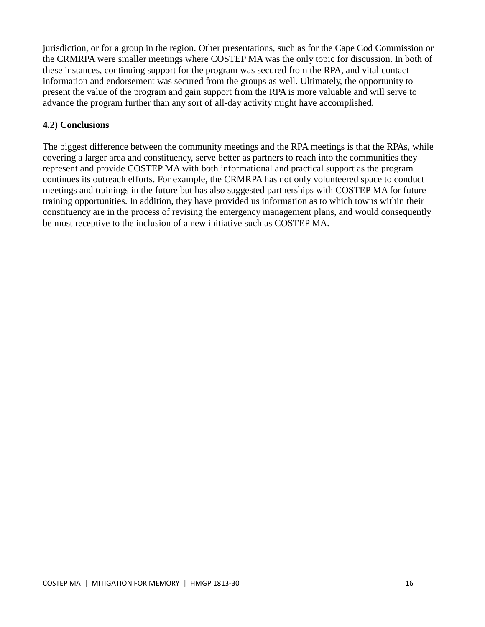jurisdiction, or for a group in the region. Other presentations, such as for the Cape Cod Commission or the CRMRPA were smaller meetings where COSTEP MA was the only topic for discussion. In both of these instances, continuing support for the program was secured from the RPA, and vital contact information and endorsement was secured from the groups as well. Ultimately, the opportunity to present the value of the program and gain support from the RPA is more valuable and will serve to advance the program further than any sort of all-day activity might have accomplished.

#### **4.2) Conclusions**

The biggest difference between the community meetings and the RPA meetings is that the RPAs, while covering a larger area and constituency, serve better as partners to reach into the communities they represent and provide COSTEP MA with both informational and practical support as the program continues its outreach efforts. For example, the CRMRPA has not only volunteered space to conduct meetings and trainings in the future but has also suggested partnerships with COSTEP MA for future training opportunities. In addition, they have provided us information as to which towns within their constituency are in the process of revising the emergency management plans, and would consequently be most receptive to the inclusion of a new initiative such as COSTEP MA.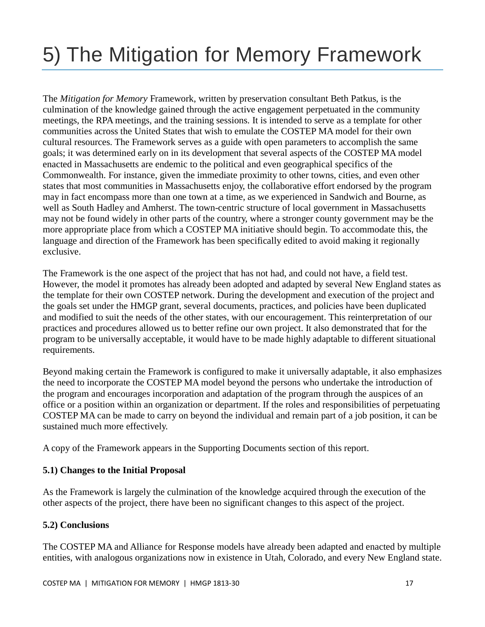# 5) The Mitigation for Memory Framework

The *Mitigation for Memory* Framework, written by preservation consultant Beth Patkus, is the culmination of the knowledge gained through the active engagement perpetuated in the community meetings, the RPA meetings, and the training sessions. It is intended to serve as a template for other communities across the United States that wish to emulate the COSTEP MA model for their own cultural resources. The Framework serves as a guide with open parameters to accomplish the same goals; it was determined early on in its development that several aspects of the COSTEP MA model enacted in Massachusetts are endemic to the political and even geographical specifics of the Commonwealth. For instance, given the immediate proximity to other towns, cities, and even other states that most communities in Massachusetts enjoy, the collaborative effort endorsed by the program may in fact encompass more than one town at a time, as we experienced in Sandwich and Bourne, as well as South Hadley and Amherst. The town-centric structure of local government in Massachusetts may not be found widely in other parts of the country, where a stronger county government may be the more appropriate place from which a COSTEP MA initiative should begin. To accommodate this, the language and direction of the Framework has been specifically edited to avoid making it regionally exclusive.

The Framework is the one aspect of the project that has not had, and could not have, a field test. However, the model it promotes has already been adopted and adapted by several New England states as the template for their own COSTEP network. During the development and execution of the project and the goals set under the HMGP grant, several documents, practices, and policies have been duplicated and modified to suit the needs of the other states, with our encouragement. This reinterpretation of our practices and procedures allowed us to better refine our own project. It also demonstrated that for the program to be universally acceptable, it would have to be made highly adaptable to different situational requirements.

Beyond making certain the Framework is configured to make it universally adaptable, it also emphasizes the need to incorporate the COSTEP MA model beyond the persons who undertake the introduction of the program and encourages incorporation and adaptation of the program through the auspices of an office or a position within an organization or department. If the roles and responsibilities of perpetuating COSTEP MA can be made to carry on beyond the individual and remain part of a job position, it can be sustained much more effectively.

A copy of the Framework appears in the Supporting Documents section of this report.

#### **5.1) Changes to the Initial Proposal**

As the Framework is largely the culmination of the knowledge acquired through the execution of the other aspects of the project, there have been no significant changes to this aspect of the project.

#### **5.2) Conclusions**

The COSTEP MA and Alliance for Response models have already been adapted and enacted by multiple entities, with analogous organizations now in existence in Utah, Colorado, and every New England state.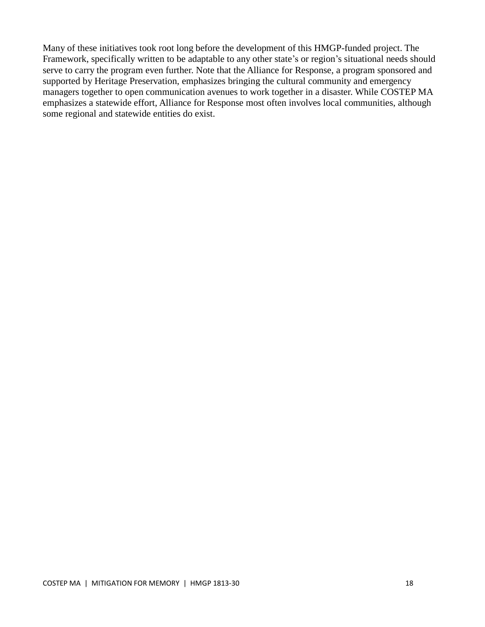Many of these initiatives took root long before the development of this HMGP-funded project. The Framework, specifically written to be adaptable to any other state's or region's situational needs should serve to carry the program even further. Note that the Alliance for Response, a program sponsored and supported by Heritage Preservation, emphasizes bringing the cultural community and emergency managers together to open communication avenues to work together in a disaster. While COSTEP MA emphasizes a statewide effort, Alliance for Response most often involves local communities, although some regional and statewide entities do exist.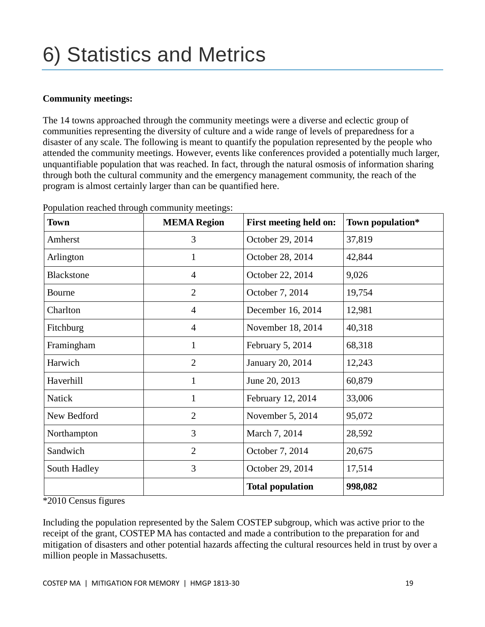#### **Community meetings:**

The 14 towns approached through the community meetings were a diverse and eclectic group of communities representing the diversity of culture and a wide range of levels of preparedness for a disaster of any scale. The following is meant to quantify the population represented by the people who attended the community meetings. However, events like conferences provided a potentially much larger, unquantifiable population that was reached. In fact, through the natural osmosis of information sharing through both the cultural community and the emergency management community, the reach of the program is almost certainly larger than can be quantified here.

| <b>Town</b>       | <b>MEMA Region</b> | First meeting held on:  | Town population* |
|-------------------|--------------------|-------------------------|------------------|
| Amherst           | 3                  | October 29, 2014        | 37,819           |
| Arlington         | $\mathbf{1}$       | October 28, 2014        | 42,844           |
| <b>Blackstone</b> | $\overline{4}$     | October 22, 2014        | 9,026            |
| Bourne            | $\overline{2}$     | October 7, 2014         | 19,754           |
| Charlton          | $\overline{4}$     | December 16, 2014       | 12,981           |
| Fitchburg         | $\overline{4}$     | November 18, 2014       | 40,318           |
| Framingham        | 1                  | February 5, 2014        | 68,318           |
| Harwich           | $\overline{2}$     | January 20, 2014        | 12,243           |
| Haverhill         | $\mathbf{1}$       | June 20, 2013           | 60,879           |
| <b>Natick</b>     | 1                  | February 12, 2014       | 33,006           |
| New Bedford       | $\overline{2}$     | November 5, 2014        | 95,072           |
| Northampton       | 3                  | March 7, 2014           | 28,592           |
| Sandwich          | $\overline{2}$     | October 7, 2014         | 20,675           |
| South Hadley      | 3                  | October 29, 2014        | 17,514           |
|                   |                    | <b>Total population</b> | 998,082          |

Population reached through community meetings:

\*2010 Census figures

Including the population represented by the Salem COSTEP subgroup, which was active prior to the receipt of the grant, COSTEP MA has contacted and made a contribution to the preparation for and mitigation of disasters and other potential hazards affecting the cultural resources held in trust by over a million people in Massachusetts.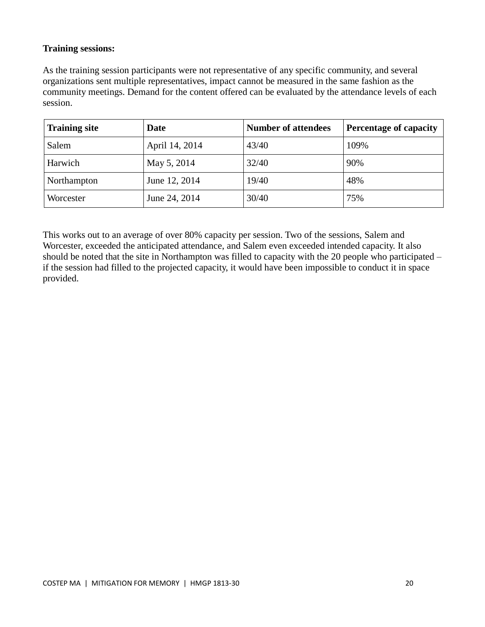#### **Training sessions:**

As the training session participants were not representative of any specific community, and several organizations sent multiple representatives, impact cannot be measured in the same fashion as the community meetings. Demand for the content offered can be evaluated by the attendance levels of each session.

| <b>Training site</b> | Date           | <b>Number of attendees</b> | <b>Percentage of capacity</b> |
|----------------------|----------------|----------------------------|-------------------------------|
| Salem                | April 14, 2014 | 43/40                      | 109%                          |
| Harwich              | May 5, 2014    | 32/40                      | 90%                           |
| Northampton          | June 12, 2014  | 19/40                      | 48%                           |
| Worcester            | June 24, 2014  | 30/40                      | 75%                           |

This works out to an average of over 80% capacity per session. Two of the sessions, Salem and Worcester, exceeded the anticipated attendance, and Salem even exceeded intended capacity. It also should be noted that the site in Northampton was filled to capacity with the 20 people who participated – if the session had filled to the projected capacity, it would have been impossible to conduct it in space provided.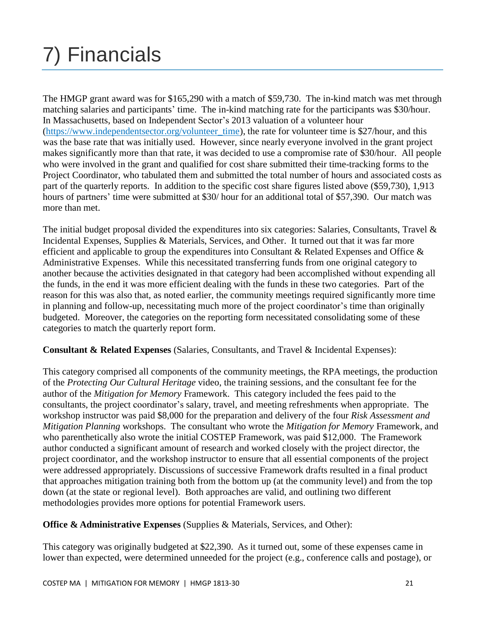# 7) Financials

The HMGP grant award was for \$165,290 with a match of \$59,730. The in-kind match was met through matching salaries and participants' time. The in-kind matching rate for the participants was \$30/hour. In Massachusetts, based on Independent Sector's 2013 valuation of a volunteer hour [\(https://www.independentsector.org/volunteer\\_time\)](https://www.independentsector.org/volunteer_time), the rate for volunteer time is \$27/hour, and this was the base rate that was initially used. However, since nearly everyone involved in the grant project makes significantly more than that rate, it was decided to use a compromise rate of \$30/hour. All people who were involved in the grant and qualified for cost share submitted their time-tracking forms to the Project Coordinator, who tabulated them and submitted the total number of hours and associated costs as part of the quarterly reports. In addition to the specific cost share figures listed above (\$59,730), 1,913 hours of partners' time were submitted at \$30/ hour for an additional total of \$57,390. Our match was more than met.

The initial budget proposal divided the expenditures into six categories: Salaries, Consultants, Travel  $\&$ Incidental Expenses, Supplies & Materials, Services, and Other. It turned out that it was far more efficient and applicable to group the expenditures into Consultant & Related Expenses and Office  $\&$ Administrative Expenses. While this necessitated transferring funds from one original category to another because the activities designated in that category had been accomplished without expending all the funds, in the end it was more efficient dealing with the funds in these two categories. Part of the reason for this was also that, as noted earlier, the community meetings required significantly more time in planning and follow-up, necessitating much more of the project coordinator's time than originally budgeted. Moreover, the categories on the reporting form necessitated consolidating some of these categories to match the quarterly report form.

#### **Consultant & Related Expenses** (Salaries, Consultants, and Travel & Incidental Expenses):

This category comprised all components of the community meetings, the RPA meetings, the production of the *Protecting Our Cultural Heritage* video, the training sessions, and the consultant fee for the author of the *Mitigation for Memory* Framework. This category included the fees paid to the consultants, the project coordinator's salary, travel, and meeting refreshments when appropriate. The workshop instructor was paid \$8,000 for the preparation and delivery of the four *Risk Assessment and Mitigation Planning* workshops. The consultant who wrote the *Mitigation for Memory* Framework, and who parenthetically also wrote the initial COSTEP Framework, was paid \$12,000. The Framework author conducted a significant amount of research and worked closely with the project director, the project coordinator, and the workshop instructor to ensure that all essential components of the project were addressed appropriately. Discussions of successive Framework drafts resulted in a final product that approaches mitigation training both from the bottom up (at the community level) and from the top down (at the state or regional level). Both approaches are valid, and outlining two different methodologies provides more options for potential Framework users.

**Office & Administrative Expenses** (Supplies & Materials, Services, and Other):

This category was originally budgeted at \$22,390. As it turned out, some of these expenses came in lower than expected, were determined unneeded for the project (e.g., conference calls and postage), or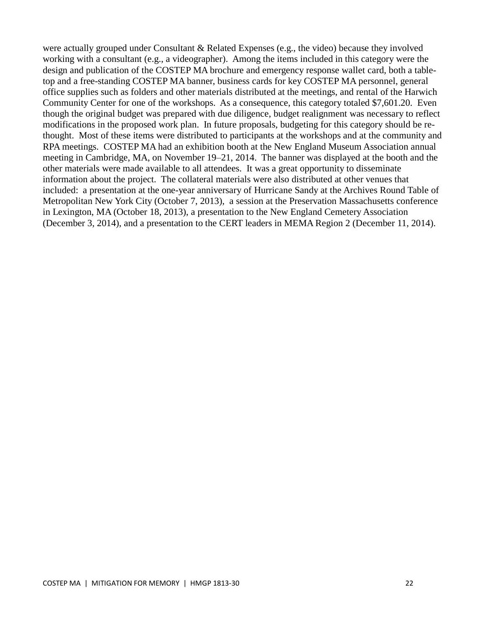were actually grouped under Consultant & Related Expenses (e.g., the video) because they involved working with a consultant (e.g., a videographer). Among the items included in this category were the design and publication of the COSTEP MA brochure and emergency response wallet card, both a tabletop and a free-standing COSTEP MA banner, business cards for key COSTEP MA personnel, general office supplies such as folders and other materials distributed at the meetings, and rental of the Harwich Community Center for one of the workshops. As a consequence, this category totaled \$7,601.20. Even though the original budget was prepared with due diligence, budget realignment was necessary to reflect modifications in the proposed work plan. In future proposals, budgeting for this category should be rethought. Most of these items were distributed to participants at the workshops and at the community and RPA meetings. COSTEP MA had an exhibition booth at the New England Museum Association annual meeting in Cambridge, MA, on November 19–21, 2014. The banner was displayed at the booth and the other materials were made available to all attendees. It was a great opportunity to disseminate information about the project. The collateral materials were also distributed at other venues that included: a presentation at the one-year anniversary of Hurricane Sandy at the Archives Round Table of Metropolitan New York City (October 7, 2013), a session at the Preservation Massachusetts conference in Lexington, MA (October 18, 2013), a presentation to the New England Cemetery Association (December 3, 2014), and a presentation to the CERT leaders in MEMA Region 2 (December 11, 2014).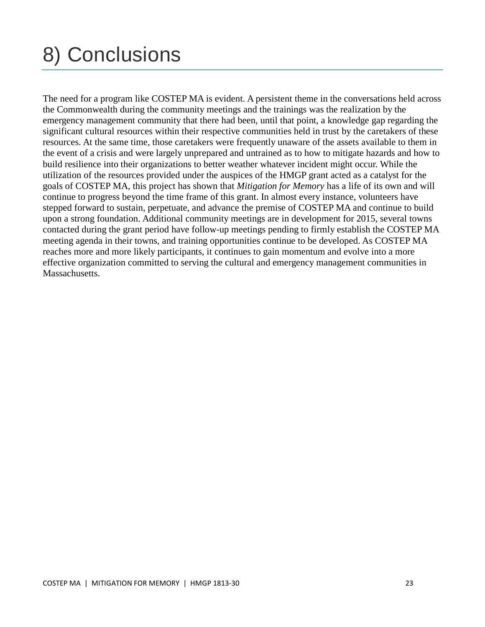## 8) Conclusions

The need for a program like COSTEP MA is evident. A persistent theme in the conversations held across the Commonwealth during the community meetings and the trainings was the realization by the emergency management community that there had been, until that point, a knowledge gap regarding the significant cultural resources within their respective communities held in trust by the caretakers of these resources. At the same time, those caretakers were frequently unaware of the assets available to them in the event of a crisis and were largely unprepared and untrained as to how to mitigate hazards and how to build resilience into their organizations to better weather whatever incident might occur. While the utilization of the resources provided under the auspices of the HMGP grant acted as a catalyst for the goals of COSTEP MA, this project has shown that *Mitigation for Memory* has a life of its own and will continue to progress beyond the time frame of this grant. In almost every instance, volunteers have stepped forward to sustain, perpetuate, and advance the premise of COSTEP MA and continue to build upon a strong foundation. Additional community meetings are in development for 2015, several towns contacted during the grant period have follow-up meetings pending to firmly establish the COSTEP MA meeting agenda in their towns, and training opportunities continue to be developed. As COSTEP MA reaches more and more likely participants, it continues to gain momentum and evolve into a more effective organization committed to serving the cultural and emergency management communities in Massachusetts.